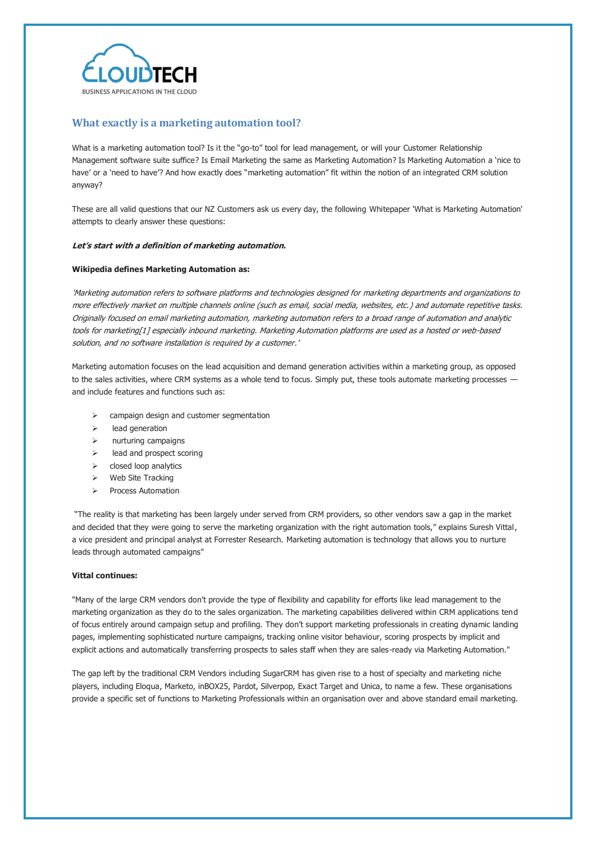

# **What exactly is a marketing automation tool?**

What is a marketing automation tool? Is it the "go-to" tool for lead management, or will your Customer Relationship Management software suite suffice? Is Email Marketing the same as Marketing Automation? Is Marketing Automation a 'nice to have' or a 'need to have'? And how exactly does "marketing automation" fit within the notion of an integrated CRM solution anyway?

These are all valid questions that our NZ Customers ask us every day, the following Whitepaper 'What is Marketing Automation' attempts to clearly answer these questions:

## **Let's start with a definition of marketing automation.**

## **Wikipedia defines Marketing Automation as:**

'Marketing automation refers to [software](http://en.wikipedia.org/wiki/Software) platforms and technologies designed for [marketing](http://en.wikipedia.org/wiki/Marketing) departments and organizations to more effectively market on multiple channels online (such as email, social media, websites, etc.) and automate repetitive tasks. Originally focused on email marketing automation, marketing automation refers to a broad range of automation and analytic tools for marketin[g\[1\]](http://en.wikipedia.org/wiki/Marketing_automation#cite_note-1) especially [inbound marketing.](http://en.wikipedia.org/wiki/Inbound_marketing) Marketing Automation platforms are used as a hosted or web-based solution, and no software installation is required by a customer.'

Marketing automation focuses on the lead acquisition and demand generation activities within a marketing group, as opposed to the sales activities, where CRM systems as a whole tend to focus. Simply put, these tools automate marketing processes and include features and functions such as:

- $\triangleright$  campaign design and customer segmentation
- $\triangleright$  lead generation
- $\triangleright$  nurturing campaigns
- lead and prospect scoring
- $\triangleright$  closed loop analytics
- $\triangleright$  Web Site Tracking
- Process Automation

"The reality is that marketing has been largely under served from CRM providers, so other vendors saw a gap in the market and decided that they were going to serve the marketing organization with the right automation tools," explains Suresh Vittal, a vice president and principal analyst at Forrester Research. Marketing automation is technology that allows you to nurture leads through automated campaigns"

### **Vittal continues:**

"Many of the large CRM vendors don't provide the type of flexibility and capability for efforts like lead management to the marketing organization as they do to the sales organization. The marketing capabilities delivered within CRM applications tend of focus entirely around campaign setup and profiling. They don't support marketing professionals in creating dynamic landing pages, implementing sophisticated nurture campaigns, tracking online visitor behaviour, scoring prospects by implicit and explicit actions and automatically transferring prospects to sales staff when they are sales-ready via Marketing Automation."

The gap left by the traditional CRM Vendors including SugarCRM has given rise to a host of specialty and marketing niche players, including Eloqua, Marketo, inBOX25, Pardot, Silverpop, Exact Target and Unica, to name a few. These organisations provide a specific set of functions to Marketing Professionals within an organisation over and above standard email marketing.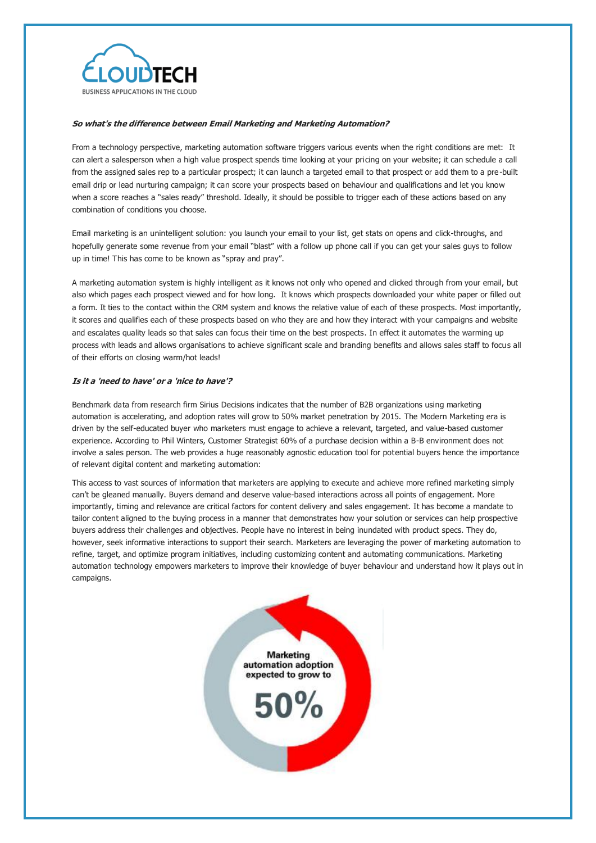

## **So what's the difference between Email Marketing and Marketing Automation?**

From a technology perspective, marketing automation software triggers various events when the right conditions are met: It can alert a salesperson when a high value prospect spends time looking at your pricing on your website; it can schedule a call from the assigned sales rep to a particular prospect; it can launch a targeted email to that prospect or add them to a pre-built email drip or lead nurturing campaign; it can score your prospects based on behaviour and qualifications and let you know when a score reaches a "sales ready" threshold. Ideally, it should be possible to trigger each of these actions based on any combination of conditions you choose.

Email marketing is an unintelligent solution: you launch your email to your list, get stats on opens and click-throughs, and hopefully generate some revenue from your email "blast" with a follow up phone call if you can get your sales guys to follow up in time! This has come to be known as "spray and pray".

A marketing automation system is highly intelligent as it knows not only who opened and clicked through from your email, but also which pages each prospect viewed and for how long. It knows which prospects downloaded your white paper or filled out a form. It ties to the contact within the CRM system and knows the relative value of each of these prospects. Most importantly, it scores and qualifies each of these prospects based on who they are and how they interact with your campaigns and website and escalates quality leads so that sales can focus their time on the best prospects. In effect it automates the warming up process with leads and allows organisations to achieve significant scale and branding benefits and allows sales staff to focus all of their efforts on closing warm/hot leads!

### **Is it a 'need to have' or a 'nice to have'?**

Benchmark data from research firm Sirius Decisions indicates that the number of B2B organizations using marketing automation is accelerating, and adoption rates will grow to 50% market penetration by 2015. The Modern Marketing era is driven by the self-educated buyer who marketers must engage to achieve a relevant, targeted, and value-based customer experience. According to Phil Winters, Customer Strategist 60% of a purchase decision within a B-B environment does not involve a sales person. The web provides a huge reasonably agnostic education tool for potential buyers hence the importance of relevant digital content and marketing automation:

This access to vast sources of information that marketers are applying to execute and achieve more refined marketing simply can't be gleaned manually. Buyers demand and deserve value-based interactions across all points of engagement. More importantly, timing and relevance are critical factors for content delivery and sales engagement. It has become a mandate to tailor content aligned to the buying process in a manner that demonstrates how your solution or services can help prospective buyers address their challenges and objectives. People have no interest in being inundated with product specs. They do, however, seek informative interactions to support their search. Marketers are leveraging the power of marketing automation to refine, target, and optimize program initiatives, including customizing content and automating communications. Marketing automation technology empowers marketers to improve their knowledge of buyer behaviour and understand how it plays out in campaigns.